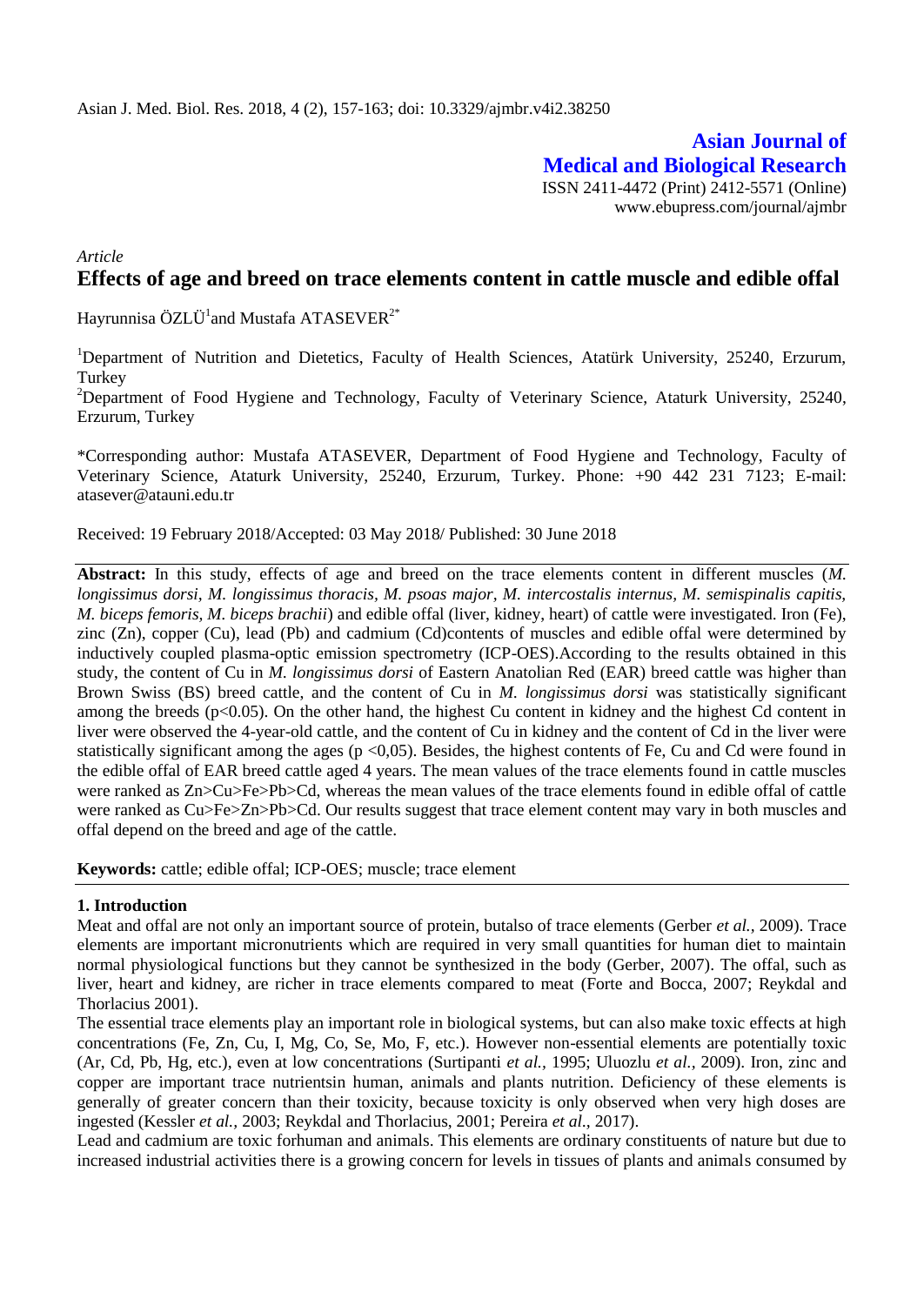**Asian Journal of Medical and Biological Research** ISSN 2411-4472 (Print) 2412-5571 (Online) www.ebupress.com/journal/ajmbr

# *Article* **Effects of age and breed on trace elements content in cattle muscle and edible offal**

Hayrunnisa ÖZLÜ $^1$ and Mustafa ATASEVER $^{2^\ast}$ 

<sup>1</sup>Department of Nutrition and Dietetics, Faculty of Health Sciences, Atatürk University, 25240, Erzurum, **Turkey** 

<sup>2</sup>Department of Food Hygiene and Technology, Faculty of Veterinary Science, Ataturk University, 25240, Erzurum, Turkey

\*Corresponding author: Mustafa ATASEVER, Department of Food Hygiene and Technology, Faculty of Veterinary Science, Ataturk University, 25240, Erzurum, Turkey. Phone: +90 442 231 7123; E-mail: [atasever@atauni.edu.tr](mailto:atasever@atauni.edu.tr)

Received: 19 February 2018/Accepted: 03 May 2018/ Published: 30 June 2018

**Abstract:** In this study, effects of age and breed on the trace elements content in different muscles (*M. longissimus dorsi, M. longissimus thoracis, M. psoas major, M. intercostalis internus, M. semispinalis capitis, M. biceps femoris, M. biceps brachii*) and edible offal (liver, kidney, heart) of cattle were investigated. Iron (Fe), zinc (Zn), copper (Cu), lead (Pb) and cadmium (Cd)contents of muscles and edible offal were determined by inductively coupled plasma-optic emission spectrometry (ICP-OES).According to the results obtained in this study, the content of Cu in *M. longissimus dorsi* of Eastern Anatolian Red (EAR) breed cattle was higher than Brown Swiss (BS) breed cattle, and the content of Cu in *M. longissimus dorsi* was statistically significant among the breeds  $(p<0.05)$ . On the other hand, the highest Cu content in kidney and the highest Cd content in liver were observed the 4-year-old cattle, and the content of Cu in kidney and the content of Cd in the liver were statistically significant among the ages ( $p \le 0.05$ ). Besides, the highest contents of Fe, Cu and Cd were found in the edible offal of EAR breed cattle aged 4 years. The mean values of the trace elements found in cattle muscles were ranked as Zn>Cu>Fe>Pb>Cd, whereas the mean values of the trace elements found in edible offal of cattle were ranked as Cu>Fe>Zn>Pb>Cd. Our results suggest that trace element content may vary in both muscles and offal depend on the breed and age of the cattle.

**Keywords:** cattle; edible offal; ICP-OES; muscle; trace element

### **1. Introduction**

Meat and offal are not only an important source of protein, butalso of trace elements (Gerber *et al.,* 2009). Trace elements are important micronutrients which are required in very small quantities for human diet to maintain normal physiological functions but they cannot be synthesized in the body (Gerber, 2007). The offal, such as liver, heart and kidney, are richer in trace elements compared to meat (Forte and Bocca, 2007; Reykdal and Thorlacius 2001).

The essential trace elements play an important role in biological systems, but can also make toxic effects at high concentrations (Fe, Zn, Cu, I, Mg, Co, Se, Mo, F, etc.). However non-essential elements are potentially toxic (Ar, Cd, Pb, Hg, etc.), even at low concentrations (Surtipanti *et al.,* 1995; Uluozlu *et al.,* 2009). Iron, zinc and copper are important trace nutrientsin human, animals and plants nutrition. Deficiency of these elements is generally of greater concern than their toxicity, because toxicity is only observed when very high doses are ingested (Kessler *et al.,* 2003; Reykdal and Thorlacius, 2001; Pereira *et al.,* 2017).

Lead and cadmium are toxic forhuman and animals. This elements are ordinary constituents of nature but due to increased industrial activities there is a growing concern for levels in tissues of plants and animals consumed by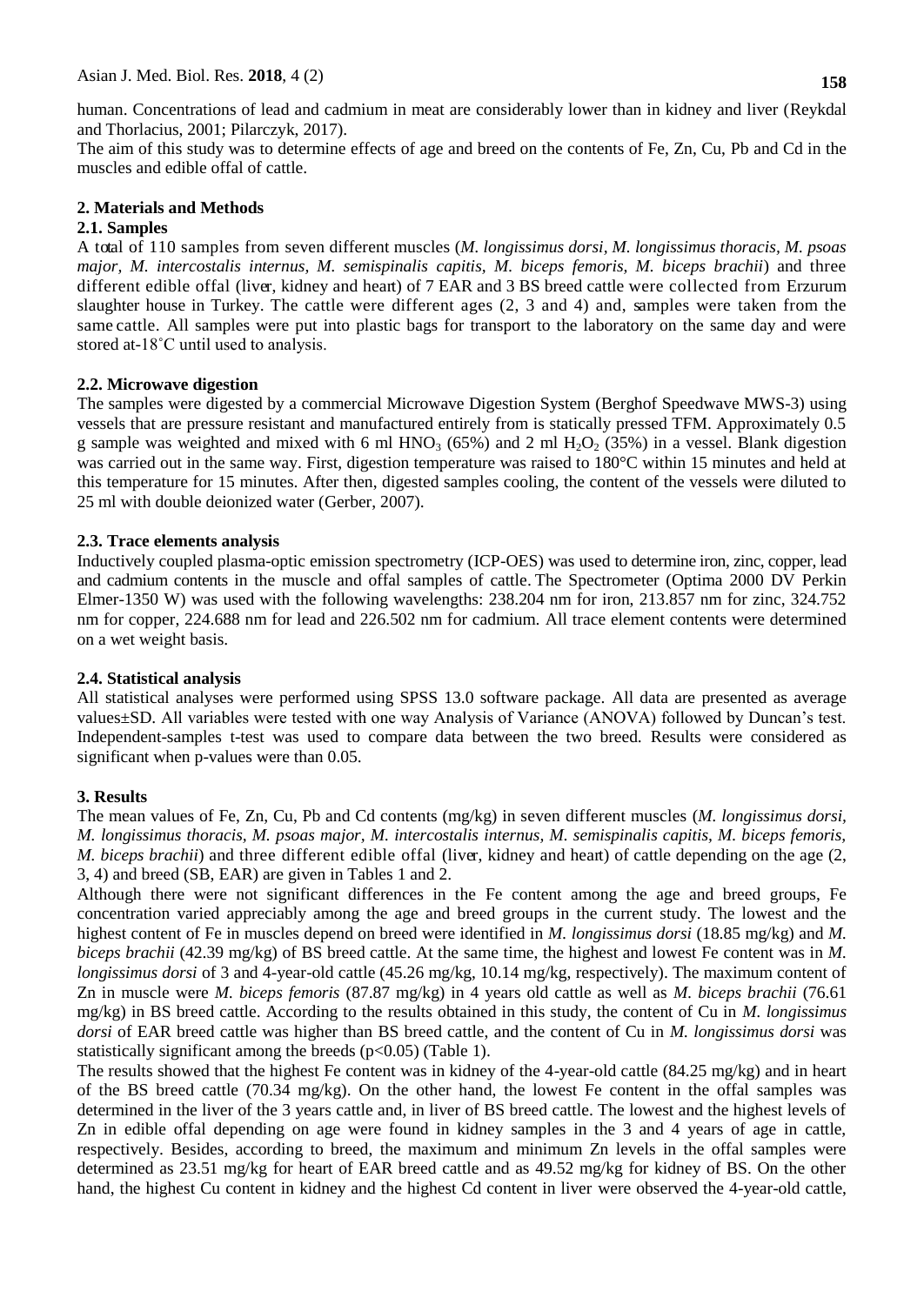human. Concentrations of lead and cadmium in meat are considerably lower than in kidney and liver (Reykdal and Thorlacius, 2001; Pilarczyk, 2017).

The aim of this study was to determine effects of age and breed on the contents of Fe, Zn, Cu, Pb and Cd in the muscles and edible offal of cattle.

### **2. Materials and Methods**

### **2.1. Samples**

A total of 110 samples from seven different muscles (*M. longissimus dorsi, M. longissimus thoracis, M. psoas major, M. intercostalis internus, M. semispinalis capitis, M. biceps femoris, M. biceps brachii*) and three different edible offal (liver, kidney and heart) of 7 EAR and 3 BS breed cattle were collected from Erzurum slaughter house in Turkey. The cattle were different ages (2, 3 and 4) and, samples were taken from the same cattle. All samples were put into plastic bags for transport to the laboratory on the same day and were stored at-18˚C until used to analysis.

## **2.2. Microwave digestion**

The samples were digested by a commercial Microwave Digestion System (Berghof Speedwave MWS-3) using vessels that are pressure resistant and manufactured entirely from is statically pressed TFM. Approximately 0.5 g sample was weighted and mixed with 6 ml  $HNO<sub>3</sub>$  (65%) and 2 ml  $H<sub>2</sub>O<sub>2</sub>$  (35%) in a vessel. Blank digestion was carried out in the same way. First, digestion temperature was raised to 180°C within 15 minutes and held at this temperature for 15 minutes. After then, digested samples cooling, the content of the vessels were diluted to 25 ml with double deionized water [\(Gerber,](#page-5-0) 2007).

### **2.3. Trace elements analysis**

Inductively coupled plasma-optic emission spectrometry (ICP-OES) was used to determine iron, zinc, copper, lead and cadmium contents in the muscle and offal samples of cattle. The Spectrometer (Optima 2000 DV Perkin Elmer-1350 W) was used with the following wavelengths: 238.204 nm for iron, 213.857 nm for zinc, 324.752 nm for copper, 224.688 nm for lead and 226.502 nm for cadmium. All trace element contents were determined on a wet weight basis.

## **2.4. Statistical analysis**

All statistical analyses were performed using SPSS 13.0 software package. All data are presented as average values±SD. All variables were tested with one way Analysis of Variance (ANOVA) followed by Duncan's test. Independent-samples t-test was used to compare data between the two breed. Results were considered as significant when p-values were than 0.05.

### **3. Results**

The mean values of Fe, Zn, Cu, Pb and Cd contents (mg/kg) in seven different muscles (*M. longissimus dorsi, M. longissimus thoracis, M. psoas major, M. intercostalis internus, M. semispinalis capitis, M. biceps femoris, M. biceps brachii*) and three different edible offal (liver, kidney and heart) of cattle depending on the age (2, 3, 4) and breed (SB, EAR) are given in Tables 1 and 2.

Although there were not significant differences in the Fe content among the age and breed groups, Fe concentration varied appreciably among the age and breed groups in the current study. The lowest and the highest content of Fe in muscles depend on breed were identified in *M. longissimus dorsi* (18.85 mg/kg) and *M*. *biceps brachii* (42.39 mg/kg) of BS breed cattle. At the same time, the highest and lowest Fe content was in *M. longissimus dorsi* of 3 and 4-year-old cattle (45.26 mg/kg, 10.14 mg/kg, respectively). The maximum content of Zn in muscle were *M. biceps femoris* (87.87 mg/kg) in 4 years old cattle as well as *M. biceps brachii* (76.61 mg/kg) in BS breed cattle. According to the results obtained in this study, the content of Cu in *M. longissimus dorsi* of EAR breed cattle was higher than BS breed cattle, and the content of Cu in *M. longissimus dorsi* was statistically significant among the breeds  $(p<0.05)$  (Table 1).

The results showed that the highest Fe content was in kidney of the 4-year-old cattle (84.25 mg/kg) and in heart of the BS breed cattle (70.34 mg/kg). On the other hand, the lowest Fe content in the offal samples was determined in the liver of the 3 years cattle and, in liver of BS breed cattle. The lowest and the highest levels of Zn in edible offal depending on age were found in kidney samples in the 3 and 4 years of age in cattle, respectively. Besides, according to breed, the maximum and minimum Zn levels in the offal samples were determined as 23.51 mg/kg for heart of EAR breed cattle and as 49.52 mg/kg for kidney of BS. On the other hand, the highest Cu content in kidney and the highest Cd content in liver were observed the 4-year-old cattle,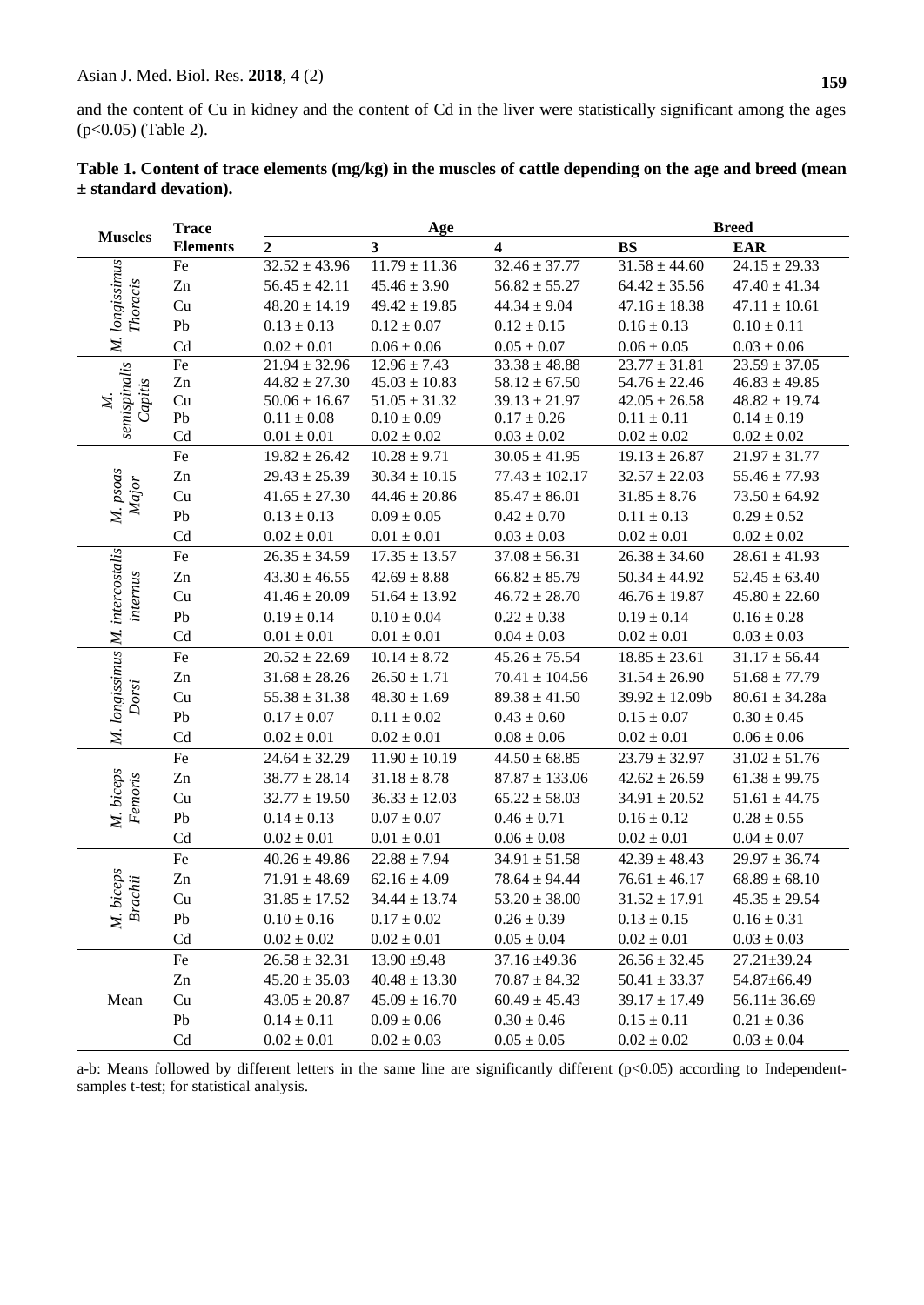and the content of Cu in kidney and the content of Cd in the liver were statistically significant among the ages (p<0.05) (Table 2).

| <b>Muscles</b>                  | <b>Trace</b>    | Age               |                   |                    | <b>Breed</b>       |                    |  |  |
|---------------------------------|-----------------|-------------------|-------------------|--------------------|--------------------|--------------------|--|--|
|                                 | <b>Elements</b> | $\overline{2}$    | 3                 | 4                  | <b>BS</b>          | <b>EAR</b>         |  |  |
| M. longissimus<br>Thoracis      | Fe              | $32.52 \pm 43.96$ | $11.79 \pm 11.36$ | $32.46 \pm 37.77$  | $31.58 \pm 44.60$  | $24.15 \pm 29.33$  |  |  |
|                                 | Zn              | $56.45 \pm 42.11$ | $45.46 \pm 3.90$  | $56.82 \pm 55.27$  | $64.42 \pm 35.56$  | $47.40 \pm 41.34$  |  |  |
|                                 | Cu              | $48.20 \pm 14.19$ | $49.42 \pm 19.85$ | $44.34 \pm 9.04$   | $47.16 \pm 18.38$  | $47.11 \pm 10.61$  |  |  |
|                                 | Pb              | $0.13 \pm 0.13$   | $0.12\pm0.07$     | $0.12 \pm 0.15$    | $0.16 \pm 0.13$    | $0.10 \pm 0.11$    |  |  |
|                                 | Cd              | $0.02 \pm 0.01$   | $0.06 \pm 0.06$   | $0.05\pm0.07$      | $0.06\pm0.05$      | $0.03 \pm 0.06$    |  |  |
|                                 | Fe              | $21.94 \pm 32.96$ | $12.96 \pm 7.43$  | $33.38 \pm 48.88$  | $23.77 \pm 31.81$  | $23.59 \pm 37.05$  |  |  |
| Capitis                         | Zn              | $44.82 \pm 27.30$ | $45.03 \pm 10.83$ | $58.12 \pm 67.50$  | $54.76 \pm 22.46$  | $46.83 \pm 49.85$  |  |  |
| N.                              | Cu              | $50.06 \pm 16.67$ | $51.05 \pm 31.32$ | $39.13 \pm 21.97$  | $42.05 \pm 26.58$  | $48.82 \pm 19.74$  |  |  |
| semispinalis                    | Pb              | $0.11 \pm 0.08$   | $0.10 \pm 0.09$   | $0.17 \pm 0.26$    | $0.11 \pm 0.11$    | $0.14 \pm 0.19$    |  |  |
|                                 | Cd              | $0.01 \pm 0.01$   | $0.02\pm0.02$     | $0.03\pm0.02$      | $0.02 \pm 0.02$    | $0.02 \pm 0.02$    |  |  |
|                                 | Fe              | $19.82 \pm 26.42$ | $10.28 \pm 9.71$  | $30.05 \pm 41.95$  | $19.13 \pm 26.87$  | $21.97 \pm 31.77$  |  |  |
| M. psoas<br>Major               | Zn              | $29.43 \pm 25.39$ | $30.34 \pm 10.15$ | $77.43 \pm 102.17$ | $32.57\pm22.03$    | $55.46 \pm 77.93$  |  |  |
|                                 | Cu              | $41.65 \pm 27.30$ | $44.46 \pm 20.86$ | $85.47 \pm 86.01$  | $31.85 \pm 8.76$   | $73.50 \pm 64.92$  |  |  |
|                                 | Pb              | $0.13 \pm 0.13$   | $0.09 \pm 0.05$   | $0.42 \pm 0.70$    | $0.11 \pm 0.13$    | $0.29 \pm 0.52$    |  |  |
|                                 | Cd              | $0.02 \pm 0.01$   | $0.01\pm0.01$     | $0.03\pm0.03$      | $0.02\pm0.01$      | $0.02\pm0.02$      |  |  |
|                                 | $\rm Fe$        | $26.35 \pm 34.59$ | $17.35 \pm 13.57$ | $37.08 \pm 56.31$  | $26.38 \pm 34.60$  | $28.61 \pm 41.93$  |  |  |
| internus                        | Zn              | $43.30 \pm 46.55$ | $42.69 \pm 8.88$  | $66.82 \pm 85.79$  | $50.34 \pm 44.92$  | $52.45 \pm 63.40$  |  |  |
|                                 | Cu              | $41.46 \pm 20.09$ | $51.64 \pm 13.92$ | $46.72 \pm 28.70$  | $46.76 \pm 19.87$  | $45.80 \pm 22.60$  |  |  |
|                                 | ${\rm Pb}$      | $0.19 \pm 0.14$   | $0.10 \pm 0.04$   | $0.22 \pm 0.38$    | $0.19 \pm 0.14$    | $0.16 \pm 0.28$    |  |  |
|                                 | Cd              | $0.01 \pm 0.01$   | $0.01\pm0.01$     | $0.04 \pm 0.03$    | $0.02 \pm 0.01$    | $0.03 \pm 0.03$    |  |  |
|                                 | Fe              | $20.52 \pm 22.69$ | $10.14 \pm 8.72$  | $45.26 \pm 75.54$  | $18.85 \pm 23.61$  | $31.17 \pm 56.44$  |  |  |
|                                 | Zn              | $31.68 \pm 28.26$ | $26.50 \pm 1.71$  | $70.41 \pm 104.56$ | $31.54 \pm 26.90$  | $51.68 \pm 77.79$  |  |  |
| Dorsi                           | Cu              | $55.38 \pm 31.38$ | $48.30 \pm 1.69$  | $89.38 \pm 41.50$  | $39.92 \pm 12.09b$ | $80.61 \pm 34.28a$ |  |  |
| M. longissimus M. intercostalis | Pb              | $0.17 \pm 0.07$   | $0.11 \pm 0.02$   | $0.43 \pm 0.60$    | $0.15 \pm 0.07$    | $0.30 \pm 0.45$    |  |  |
|                                 | Cd              | $0.02 \pm 0.01$   | $0.02 \pm 0.01$   | $0.08\pm0.06$      | $0.02\pm0.01$      | $0.06 \pm 0.06$    |  |  |
|                                 | Fe              | $24.64 \pm 32.29$ | $11.90 \pm 10.19$ | $44.50 \pm 68.85$  | $23.79 \pm 32.97$  | $31.02 \pm 51.76$  |  |  |
|                                 | Zn              | $38.77 \pm 28.14$ | $31.18 \pm 8.78$  | $87.87 \pm 133.06$ | $42.62 \pm 26.59$  | $61.38 \pm 99.75$  |  |  |
| M. biceps<br>Femoris            | Cu              | $32.77 \pm 19.50$ | $36.33 \pm 12.03$ | $65.22 \pm 58.03$  | $34.91 \pm 20.52$  | $51.61 \pm 44.75$  |  |  |
|                                 | Pb              | $0.14 \pm 0.13$   | $0.07 \pm 0.07$   | $0.46 \pm 0.71$    | $0.16 \pm 0.12$    | $0.28 \pm 0.55$    |  |  |
|                                 | Cd              | $0.02 \pm 0.01$   | $0.01\pm0.01$     | $0.06 \pm 0.08$    | $0.02 \pm 0.01$    | $0.04 \pm 0.07$    |  |  |
|                                 | Fe              | $40.26 \pm 49.86$ | $22.88 \pm 7.94$  | $34.91 \pm 51.58$  | $42.39 \pm 48.43$  | $29.97 \pm 36.74$  |  |  |
| biceps<br>M. biceps<br>Brachii  | Zn              | $71.91 \pm 48.69$ | $62.16 \pm 4.09$  | $78.64 \pm 94.44$  | $76.61 \pm 46.17$  | $68.89 \pm 68.10$  |  |  |
|                                 | Cu              | $31.85 \pm 17.52$ | $34.44 \pm 13.74$ | $53.20 \pm 38.00$  | $31.52 \pm 17.91$  | $45.35 \pm 29.54$  |  |  |
|                                 | Pb              | $0.10 \pm 0.16$   | $0.17\pm0.02$     | $0.26 \pm 0.39$    | $0.13\pm0.15$      | $0.16 \pm 0.31$    |  |  |
|                                 | Cd              | $0.02 \pm 0.02$   | $0.02 \pm 0.01$   | $0.05 \pm 0.04$    | $0.02 \pm 0.01$    | $0.03 \pm 0.03$    |  |  |
|                                 | Fe              | $26.58 \pm 32.31$ | $13.90 \pm 9.48$  | $37.16 \pm 49.36$  | $26.56 \pm 32.45$  | $27.21 \pm 39.24$  |  |  |
|                                 | Zn              | $45.20 \pm 35.03$ | $40.48 \pm 13.30$ | $70.87 \pm 84.32$  | $50.41 \pm 33.37$  | 54.87±66.49        |  |  |
| Mean                            | Cu              | $43.05 \pm 20.87$ | $45.09 \pm 16.70$ | $60.49 \pm 45.43$  | $39.17 \pm 17.49$  | $56.11 \pm 36.69$  |  |  |
|                                 | Pb              | $0.14 \pm 0.11$   | $0.09 \pm 0.06$   | $0.30 \pm 0.46$    | $0.15 \pm 0.11$    | $0.21 \pm 0.36$    |  |  |
|                                 | Cd              | $0.02 \pm 0.01$   | $0.02 \pm 0.03$   | $0.05 \pm 0.05$    | $0.02\pm0.02$      | $0.03 \pm 0.04$    |  |  |

**Table 1. Content of trace elements (mg/kg) in the muscles of cattle depending on the age and breed (mean ± standard devation).**

a-b: Means followed by different letters in the same line are significantly different (p<0.05) according to Independentsamples t-test; for statistical analysis.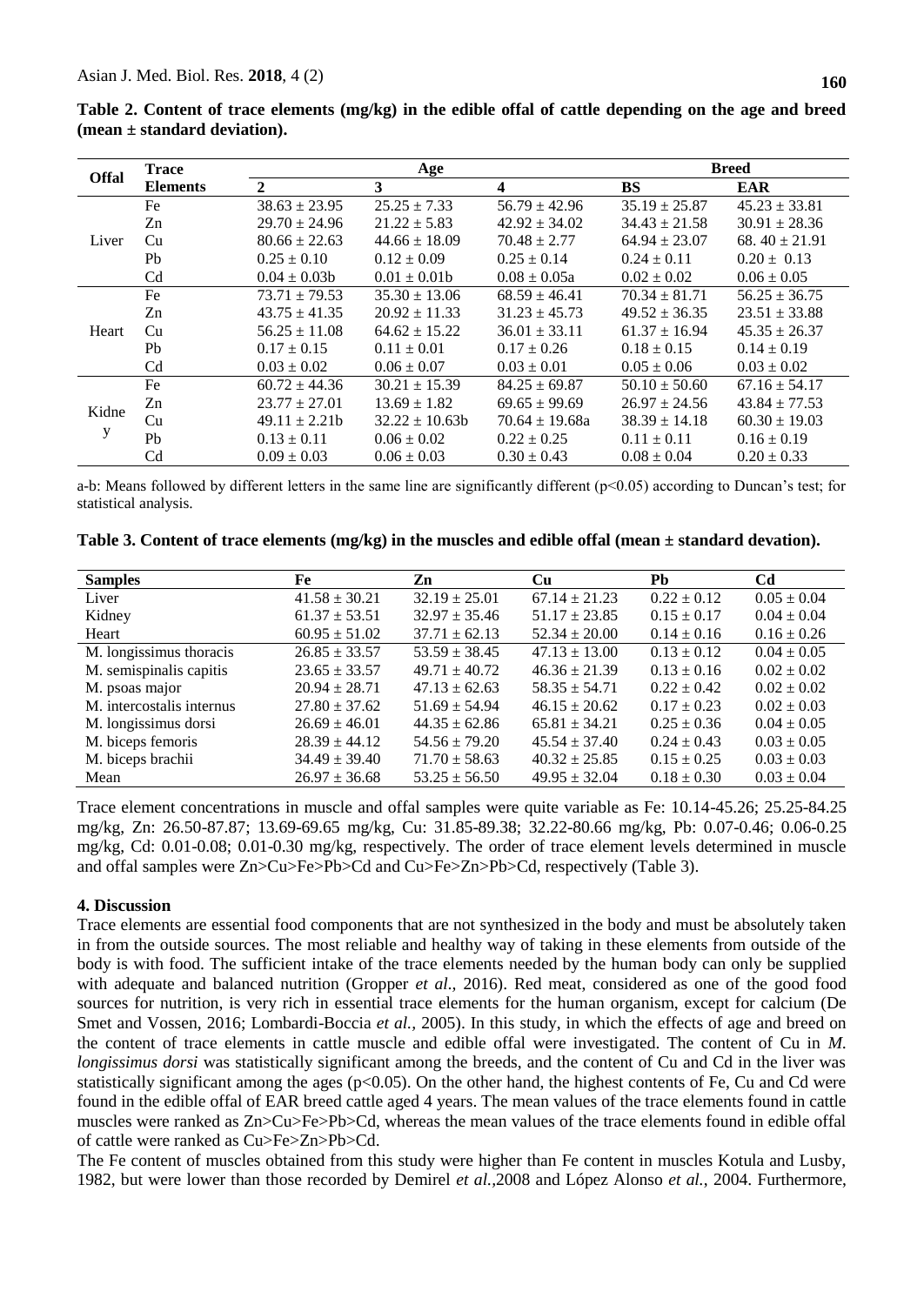| <b>Offal</b> | <b>Trace</b>    |                   | Age                |                    | <b>Breed</b>      |                   |  |  |
|--------------|-----------------|-------------------|--------------------|--------------------|-------------------|-------------------|--|--|
|              | <b>Elements</b> | $\mathbf{2}$      | 3                  | 4                  | <b>BS</b>         | <b>EAR</b>        |  |  |
| Liver        | Fe              | $38.63 \pm 23.95$ | $25.25 \pm 7.33$   | $56.79 \pm 42.96$  | $35.19 \pm 25.87$ | $45.23 \pm 33.81$ |  |  |
|              | Zn              | $29.70 \pm 24.96$ | $21.22 \pm 5.83$   | $42.92 \pm 34.02$  | $34.43 \pm 21.58$ | $30.91 \pm 28.36$ |  |  |
|              | Cu              | $80.66 \pm 22.63$ | $44.66 \pm 18.09$  | $70.48 \pm 2.77$   | $64.94 \pm 23.07$ | 68.40 $\pm$ 21.91 |  |  |
|              | Pb              | $0.25 \pm 0.10$   | $0.12 \pm 0.09$    | $0.25 \pm 0.14$    | $0.24 \pm 0.11$   | $0.20 \pm 0.13$   |  |  |
|              | C <sub>d</sub>  | $0.04 \pm 0.03b$  | $0.01 \pm 0.01$    | $0.08 \pm 0.05a$   | $0.02 \pm 0.02$   | $0.06 \pm 0.05$   |  |  |
| Heart        | Fe              | $73.71 \pm 79.53$ | $35.30 \pm 13.06$  | $68.59 \pm 46.41$  | $70.34 \pm 81.71$ | $56.25 \pm 36.75$ |  |  |
|              | Zn              | $43.75 \pm 41.35$ | $20.92 \pm 11.33$  | $31.23 \pm 45.73$  | $49.52 \pm 36.35$ | $23.51 \pm 33.88$ |  |  |
|              | Cu              | $56.25 \pm 11.08$ | $64.62 \pm 15.22$  | $36.01 \pm 33.11$  | $61.37 \pm 16.94$ | $45.35 \pm 26.37$ |  |  |
|              | Pb              | $0.17 \pm 0.15$   | $0.11 \pm 0.01$    | $0.17 \pm 0.26$    | $0.18 \pm 0.15$   | $0.14 \pm 0.19$   |  |  |
|              | C <sub>d</sub>  | $0.03 \pm 0.02$   | $0.06 \pm 0.07$    | $0.03 \pm 0.01$    | $0.05 \pm 0.06$   | $0.03 \pm 0.02$   |  |  |
| Kidne<br>y   | Fe              | $60.72 \pm 44.36$ | $30.21 \pm 15.39$  | $84.25 \pm 69.87$  | $50.10 \pm 50.60$ | $67.16 \pm 54.17$ |  |  |
|              | Zn              | $23.77 \pm 27.01$ | $13.69 \pm 1.82$   | $69.65 \pm 99.69$  | $26.97 \pm 24.56$ | $43.84 \pm 77.53$ |  |  |
|              | Cu              | $49.11 \pm 2.21$  | $32.22 \pm 10.63b$ | $70.64 \pm 19.68a$ | $38.39 \pm 14.18$ | $60.30 \pm 19.03$ |  |  |
|              | Pb              | $0.13 \pm 0.11$   | $0.06 \pm 0.02$    | $0.22 \pm 0.25$    | $0.11 \pm 0.11$   | $0.16 \pm 0.19$   |  |  |
|              | C <sub>d</sub>  | $0.09 \pm 0.03$   | $0.06 \pm 0.03$    | $0.30 \pm 0.43$    | $0.08 \pm 0.04$   | $0.20 \pm 0.33$   |  |  |

**Table 2. Content of trace elements (mg/kg) in the edible offal of cattle depending on the age and breed (mean ± standard deviation).**

a-b: Means followed by different letters in the same line are significantly different (p<0.05) according to Duncan's test; for statistical analysis.

|  | Table 3. Content of trace elements $(mg/kg)$ in the muscles and edible offal (mean $\pm$ standard devation). |  |  |  |  |
|--|--------------------------------------------------------------------------------------------------------------|--|--|--|--|
|  |                                                                                                              |  |  |  |  |

| <b>Samples</b>            | Fe                | Zn                | Cu                | Pb              | Cd              |
|---------------------------|-------------------|-------------------|-------------------|-----------------|-----------------|
| Liver                     | $41.58 \pm 30.21$ | $32.19 \pm 25.01$ | $67.14 \pm 21.23$ | $0.22 \pm 0.12$ | $0.05 \pm 0.04$ |
| Kidney                    | $61.37 \pm 53.51$ | $32.97 \pm 35.46$ | $51.17 \pm 23.85$ | $0.15 \pm 0.17$ | $0.04 \pm 0.04$ |
| Heart                     | $60.95 \pm 51.02$ | $37.71 \pm 62.13$ | $52.34 \pm 20.00$ | $0.14 \pm 0.16$ | $0.16 \pm 0.26$ |
| M. longissimus thoracis   | $26.85 \pm 33.57$ | $53.59 \pm 38.45$ | $47.13 \pm 13.00$ | $0.13 \pm 0.12$ | $0.04 \pm 0.05$ |
| M. semispinalis capitis   | $23.65 \pm 33.57$ | $49.71 \pm 40.72$ | $46.36 \pm 21.39$ | $0.13 \pm 0.16$ | $0.02 \pm 0.02$ |
| M. psoas major            | $20.94 \pm 28.71$ | $47.13 \pm 62.63$ | $58.35 \pm 54.71$ | $0.22 \pm 0.42$ | $0.02 \pm 0.02$ |
| M. intercostalis internus | $27.80 \pm 37.62$ | $51.69 \pm 54.94$ | $46.15 \pm 20.62$ | $0.17 \pm 0.23$ | $0.02 \pm 0.03$ |
| M. longissimus dorsi      | $26.69 \pm 46.01$ | $44.35 \pm 62.86$ | $65.81 \pm 34.21$ | $0.25 \pm 0.36$ | $0.04 \pm 0.05$ |
| M. biceps femoris         | $28.39 \pm 44.12$ | $54.56 \pm 79.20$ | $45.54 \pm 37.40$ | $0.24 \pm 0.43$ | $0.03 \pm 0.05$ |
| M. biceps brachii         | $34.49 \pm 39.40$ | $71.70 \pm 58.63$ | $40.32 \pm 25.85$ | $0.15 \pm 0.25$ | $0.03 \pm 0.03$ |
| Mean                      | $26.97 \pm 36.68$ | $53.25 \pm 56.50$ | $49.95 \pm 32.04$ | $0.18 \pm 0.30$ | $0.03 \pm 0.04$ |

Trace element concentrations in muscle and offal samples were quite variable as Fe: 10.14-45.26; 25.25-84.25 mg/kg, Zn: 26.50-87.87; 13.69-69.65 mg/kg, Cu: 31.85-89.38; 32.22-80.66 mg/kg, Pb: 0.07-0.46; 0.06-0.25 mg/kg, Cd: 0.01-0.08; 0.01-0.30 mg/kg, respectively. The order of trace element levels determined in muscle and offal samples were Zn>Cu>Fe>Pb>Cd and Cu>Fe>Zn>Pb>Cd, respectively (Table 3).

### **4. Discussion**

Trace elements are essential food components that are not synthesized in the body and must be absolutely taken in from the outside sources. The most reliable and healthy way of taking in these elements from outside of the body is with food. The sufficient intake of the trace elements needed by the human body can only be supplied with adequate and balanced nutrition (Gropper *et al.,* 2016). Red meat, considered as one of the good food sources for nutrition, is very rich in essential trace elements for the human organism, except for calcium (De Smet and Vossen, 2016; Lombardi-Boccia *et al.,* 2005). In this study, in which the effects of age and breed on the content of trace elements in cattle muscle and edible offal were investigated. The content of Cu in *M. longissimus dorsi* was statistically significant among the breeds, and the content of Cu and Cd in the liver was statistically significant among the ages ( $p<0.05$ ). On the other hand, the highest contents of Fe, Cu and Cd were found in the edible offal of EAR breed cattle aged 4 years. The mean values of the trace elements found in cattle muscles were ranked as Zn>Cu>Fe>Pb>Cd, whereas the mean values of the trace elements found in edible offal of cattle were ranked as Cu>Fe>Zn>Pb>Cd.

The Fe content of muscles obtained from this study were higher than Fe content in muscles Kotula and Lusby, 1982, but were lower than those recorded by Demirel *et al.,*2008 and López Alonso *et al.*, 2004. Furthermore,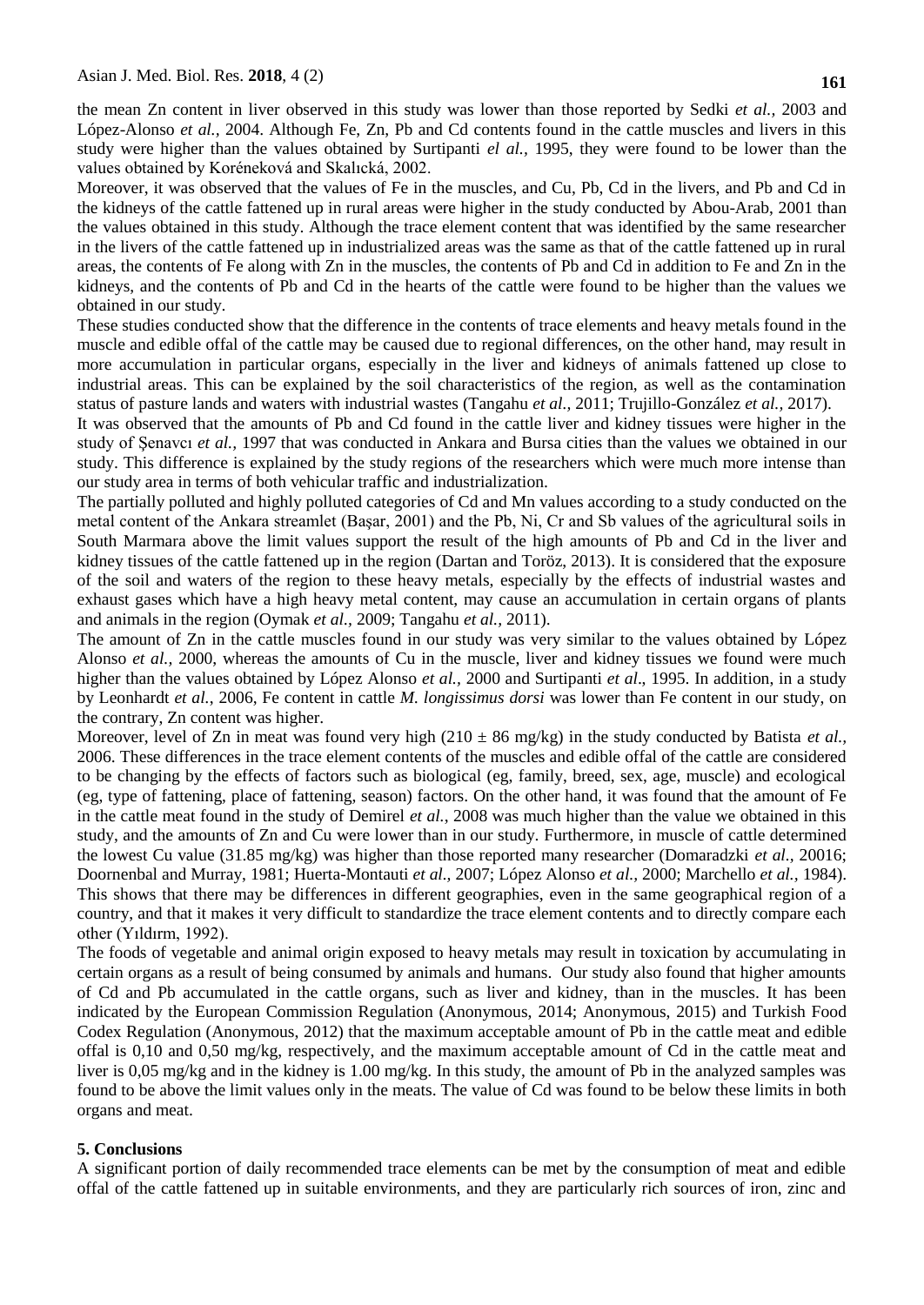the mean Zn content in liver observed in this study was lower than those reported by Sedki *et al.,* 2003 and López-Alonso *et al.,* 2004. Although Fe, Zn, Pb and Cd contents found in the cattle muscles and livers in this study were higher than the values obtained by Surtipanti *el al.,* 1995, they were found to be lower than the values obtained by Koréneková and Skalıcká, 2002.

Moreover, it was observed that the values of Fe in the muscles, and Cu, Pb, Cd in the livers, and Pb and Cd in the kidneys of the cattle fattened up in rural areas were higher in the study conducted by Abou-Arab, 2001 than the values obtained in this study. Although the trace element content that was identified by the same researcher in the livers of the cattle fattened up in industrialized areas was the same as that of the cattle fattened up in rural areas, the contents of Fe along with Zn in the muscles, the contents of Pb and Cd in addition to Fe and Zn in the kidneys, and the contents of Pb and Cd in the hearts of the cattle were found to be higher than the values we obtained in our study.

These studies conducted show that the difference in the contents of trace elements and heavy metals found in the muscle and edible offal of the cattle may be caused due to regional differences, on the other hand, may result in more accumulation in particular organs, especially in the liver and kidneys of animals fattened up close to industrial areas. This can be explained by the soil characteristics of the region, as well as the contamination status of pasture lands and waters with industrial wastes (Tangahu *et al.,* 2011; Trujillo-González *et al.,* 2017).

It was observed that the amounts of Pb and Cd found in the cattle liver and kidney tissues were higher in the study of Şenavcı *et al.,* 1997 that was conducted in Ankara and Bursa cities than the values we obtained in our study. This difference is explained by the study regions of the researchers which were much more intense than our study area in terms of both vehicular traffic and industrialization.

The partially polluted and highly polluted categories of Cd and Mn values according to a study conducted on the metal content of the Ankara streamlet (Başar, 2001) and the Pb, Ni, Cr and Sb values of the agricultural soils in South Marmara above the limit values support the result of the high amounts of Pb and Cd in the liver and kidney tissues of the cattle fattened up in the region (Dartan and Toröz, 2013). It is considered that the exposure of the soil and waters of the region to these heavy metals, especially by the effects of industrial wastes and exhaust gases which have a high heavy metal content, may cause an accumulation in certain organs of plants and animals in the region (Oymak *et al.,* 2009; Tangahu *et al.,* 2011).

The amount of Zn in the cattle muscles found in our study was very similar to the values obtained by López Alonso *et al.,* 2000, whereas the amounts of Cu in the muscle, liver and kidney tissues we found were much higher than the values obtained by López Alonso *et al.,* 2000 and Surtipanti *et al*., 1995. In addition, in a study by Leonhardt *et al.*, 2006, Fe content in cattle *M. longissimus dorsi* was lower than Fe content in our study, on the contrary, Zn content was higher.

Moreover, level of Zn in meat was found very high  $(210 \pm 86 \text{ mg/kg})$  in the study conducted by Batista *et al.*, 2006. These differences in the trace element contents of the muscles and edible offal of the cattle are considered to be changing by the effects of factors such as biological (eg, family, breed, sex, age, muscle) and ecological (eg, type of fattening, place of fattening, season) factors. On the other hand, it was found that the amount of Fe in the cattle meat found in the study of Demirel *et al.*, 2008 was much higher than the value we obtained in this study, and the amounts of Zn and Cu were lower than in our study. Furthermore, in muscle of cattle determined the lowest Cu value (31.85 mg/kg) was higher than those reported many researcher (Domaradzki *et al.,* 20016; Doornenbal and Murray, 1981; Huerta-Montauti *et al.,* 2007; López Alonso *et al.,* 2000; Marchello *et al.,* 1984). This shows that there may be differences in different geographies, even in the same geographical region of a country, and that it makes it very difficult to standardize the trace element contents and to directly compare each other (Yıldırm, 1992).

The foods of vegetable and animal origin exposed to heavy metals may result in toxication by accumulating in certain organs as a result of being consumed by animals and humans. Our study also found that higher amounts of Cd and Pb accumulated in the cattle organs, such as liver and kidney, than in the muscles. It has been indicated by the European Commission Regulation (Anonymous, 2014; Anonymous, 2015) and Turkish Food Codex Regulation (Anonymous, 2012) that the maximum acceptable amount of Pb in the cattle meat and edible offal is 0,10 and 0,50 mg/kg, respectively, and the maximum acceptable amount of Cd in the cattle meat and liver is 0,05 mg/kg and in the kidney is 1.00 mg/kg. In this study, the amount of Pb in the analyzed samples was found to be above the limit values only in the meats. The value of Cd was found to be below these limits in both organs and meat.

#### **5. Conclusions**

A significant portion of daily recommended trace elements can be met by the consumption of meat and edible offal of the cattle fattened up in suitable environments, and they are particularly rich sources of iron, zinc and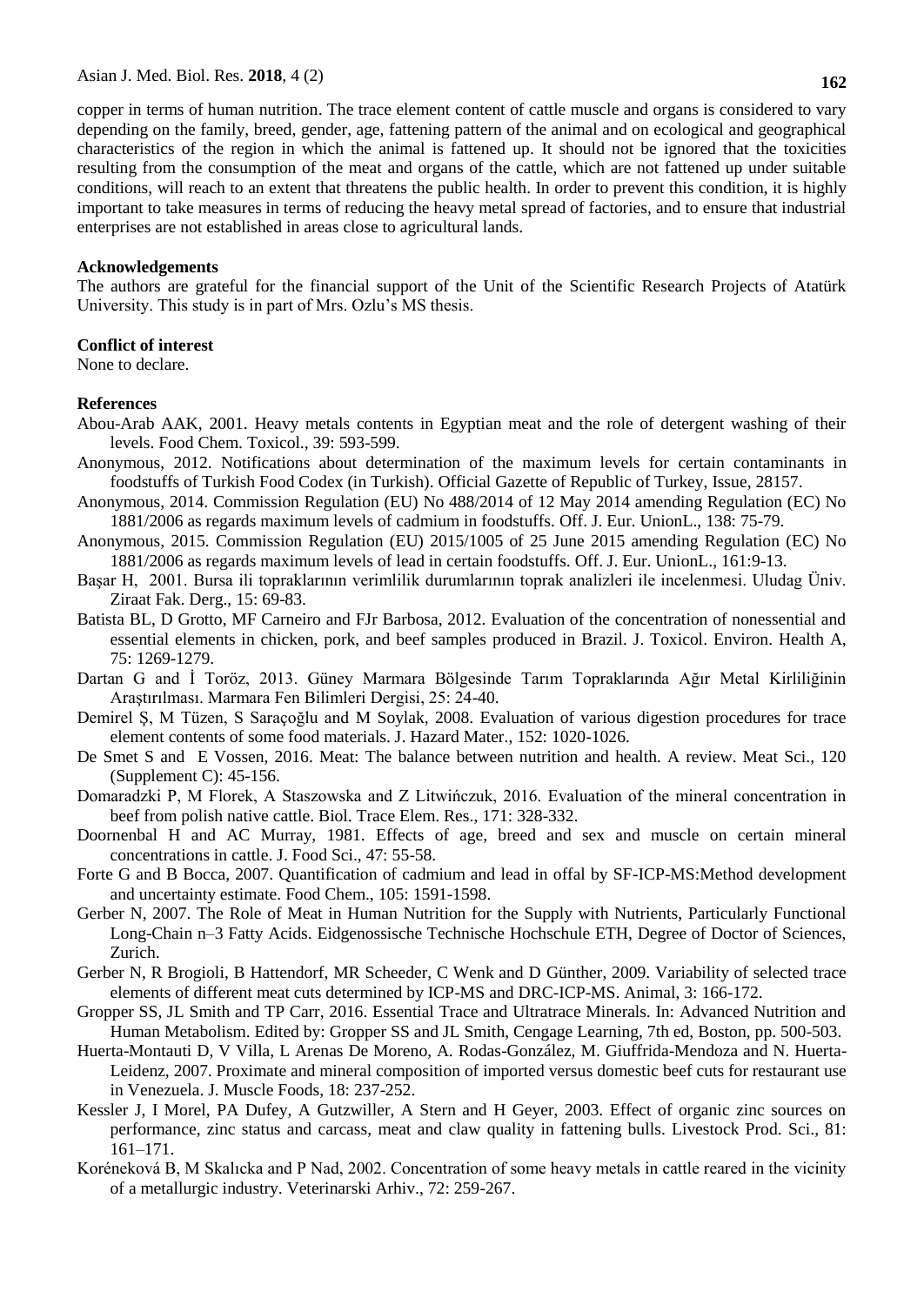copper in terms of human nutrition. The trace element content of cattle muscle and organs is considered to vary depending on the family, breed, gender, age, fattening pattern of the animal and on ecological and geographical characteristics of the region in which the animal is fattened up. It should not be ignored that the toxicities resulting from the consumption of the meat and organs of the cattle, which are not fattened up under suitable conditions, will reach to an extent that threatens the public health. In order to prevent this condition, it is highly important to take measures in terms of reducing the heavy metal spread of factories, and to ensure that industrial enterprises are not established in areas close to agricultural lands.

#### **Acknowledgements**

The authors are grateful for the financial support of the Unit of the Scientific Research Projects of Atatürk University. This study is in part of Mrs. Ozlu's MS thesis.

#### **Conflict of interest**

None to declare.

#### **References**

- Abou-Arab AAK, 2001. Heavy metals contents in Egyptian meat and the role of detergent washing of their levels. Food Chem. Toxicol., 39: 593-599.
- Anonymous, 2012. Notifications about determination of the maximum levels for certain contaminants in foodstuffs of Turkish Food Codex (in Turkish). Official Gazette of Republic of Turkey, Issue, 28157.
- Anonymous, 2014. Commission Regulation (EU) No 488/2014 of 12 May 2014 amending Regulation (EC) No 1881/2006 as regards maximum levels of cadmium in foodstuffs. Off. J. Eur. UnionL., 138: 75-79.
- Anonymous, 2015. Commission Regulation (EU) 2015/1005 of 25 June 2015 amending Regulation (EC) No 1881/2006 as regards maximum levels of lead in certain foodstuffs. Off. J. Eur. UnionL., 161:9-13.
- Başar H, 2001. Bursa ili topraklarının verimlilik durumlarının toprak analizleri ile incelenmesi. Uludag Üniv. Ziraat Fak. Derg., 15: 69-83.
- Batista BL, D Grotto, MF Carneiro and FJr Barbosa, 2012. Evaluation of the concentration of nonessential and essential elements in chicken, pork, and beef samples produced in Brazil. J. Toxicol. Environ. Health A, 75: 1269-1279.
- Dartan G and İ Toröz, 2013. Güney Marmara Bölgesinde Tarım Topraklarında Ağır Metal Kirliliğinin Araştırılması. Marmara Fen Bilimleri Dergisi, 25: 24-40.
- Demirel Ş, M Tüzen, S Saraçoğlu and M Soylak, 2008. Evaluation of various digestion procedures for trace element contents of some food materials. J. Hazard Mater., 152: 1020-1026.
- De Smet S and E Vossen, 2016. Meat: The balance between nutrition and health. A review. Meat Sci., 120 (Supplement C): 45-156.
- Domaradzki P, M Florek, A Staszowska and Z Litwińczuk, 2016. Evaluation of the mineral concentration in beef from polish native cattle. Biol. Trace Elem. Res., 171: 328-332.
- Doornenbal H and AC Murray, 1981. Effects of age, breed and sex and muscle on certain mineral concentrations in cattle. J. Food Sci., 47: 55-58.
- <span id="page-5-0"></span>Forte G and B Bocca, 2007. Quantification of cadmium and lead in offal by SF-ICP-MS:Method development and uncertainty estimate. Food Chem., 105: 1591-1598.
- Gerber N, 2007. The Role of Meat in Human Nutrition for the Supply with Nutrients, Particularly Functional Long-Chain n–3 Fatty Acids. Eidgenossische Technische Hochschule ETH, Degree of Doctor of Sciences, Zurich.
- Gerber N, R Brogioli, B Hattendorf, MR Scheeder, C Wenk and D Günther, 2009. Variability of selected trace elements of different meat cuts determined by ICP-MS and DRC-ICP-MS. Animal, 3: 166-172.
- Gropper SS, JL Smith and TP Carr, 2016. Essential Trace and Ultratrace Minerals. In: Advanced Nutrition and Human Metabolism. Edited by: Gropper SS and JL Smith, Cengage Learning, 7th ed, Boston, pp. 500-503.
- Huerta-Montauti D, V Villa, L Arenas De Moreno, A. Rodas-González, M. Giuffrida-Mendoza and N. Huerta-Leidenz, 2007. Proximate and mineral composition of imported versus domestic beef cuts for restaurant use in Venezuela. J. Muscle Foods, 18: 237-252.
- Kessler J, I Morel, PA Dufey, A Gutzwiller, A Stern and H Geyer, 2003. Effect of organic zinc sources on performance, zinc status and carcass, meat and claw quality in fattening bulls. Livestock Prod. Sci., 81: 161–171.
- Koréneková B, M Skalıcka and P Nad, 2002. Concentration of some heavy metals in cattle reared in the vicinity of a metallurgic industry. Veterinarski Arhiv., 72: 259-267.